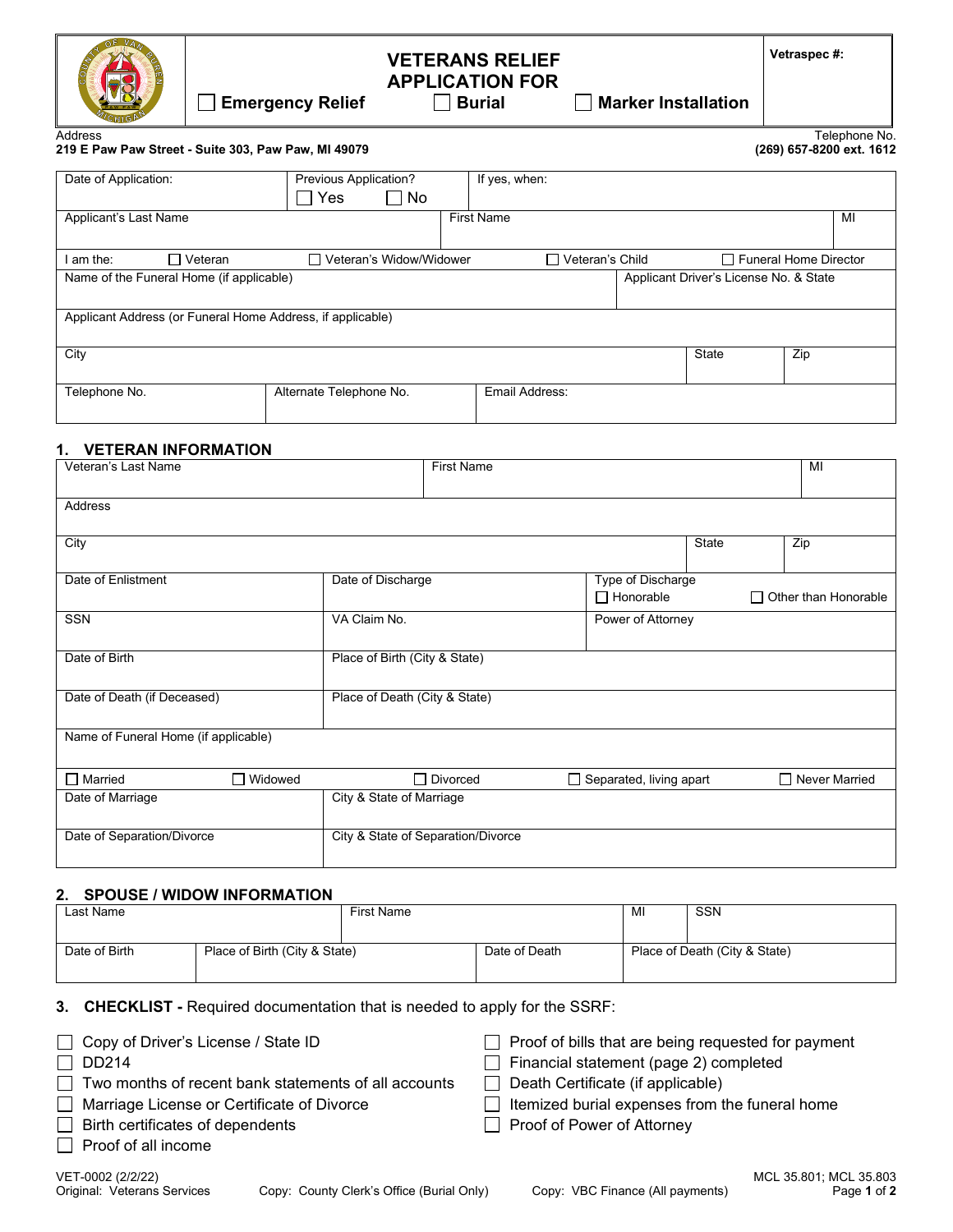

# **VETERANS RELIEF APPLICATION FOR Emergency Relief Burial Marker Installation**

Address Telephone No.

**219 E Paw Paw Street - Suite 303, Paw Paw, MI 49079 (269) 657-8200 ext. 1612**

| Date of Application:                                       |             | Previous Application?<br>  No<br>Yes<br>$\blacksquare$ |                           |                   | If yes, when:     |  |                                        |                              |    |
|------------------------------------------------------------|-------------|--------------------------------------------------------|---------------------------|-------------------|-------------------|--|----------------------------------------|------------------------------|----|
| Applicant's Last Name                                      |             |                                                        |                           | <b>First Name</b> |                   |  |                                        |                              | MI |
| am the:                                                    | ヿ Veteran l |                                                        | □ Veteran's Widow/Widower |                   | □ Veteran's Child |  |                                        | $\Box$ Funeral Home Director |    |
| Name of the Funeral Home (if applicable)                   |             |                                                        |                           |                   |                   |  | Applicant Driver's License No. & State |                              |    |
|                                                            |             |                                                        |                           |                   |                   |  |                                        |                              |    |
| Applicant Address (or Funeral Home Address, if applicable) |             |                                                        |                           |                   |                   |  |                                        |                              |    |
| City                                                       |             |                                                        |                           |                   |                   |  | <b>State</b>                           | Zip                          |    |
|                                                            |             |                                                        |                           |                   |                   |  |                                        |                              |    |
| Telephone No.                                              |             | Alternate Telephone No.                                |                           |                   | Email Address:    |  |                                        |                              |    |

### **1. VETERAN INFORMATION**

| Veteran's Last Name                  |           |                               | <b>First Name</b>                  |                                |              | MI                          |
|--------------------------------------|-----------|-------------------------------|------------------------------------|--------------------------------|--------------|-----------------------------|
| <b>Address</b>                       |           |                               |                                    |                                |              |                             |
| City                                 |           |                               |                                    |                                | <b>State</b> | Zip                         |
| Date of Enlistment                   |           | Date of Discharge             |                                    | Type of Discharge              |              |                             |
|                                      |           |                               |                                    | $\Box$ Honorable               |              | $\Box$ Other than Honorable |
| <b>SSN</b>                           |           | VA Claim No.                  |                                    | Power of Attorney              |              |                             |
| Date of Birth                        |           | Place of Birth (City & State) |                                    |                                |              |                             |
| Date of Death (if Deceased)          |           | Place of Death (City & State) |                                    |                                |              |                             |
| Name of Funeral Home (if applicable) |           |                               |                                    |                                |              |                             |
| $\Box$ Married                       | □ Widowed |                               | $\Box$ Divorced                    | $\Box$ Separated, living apart |              | $\Box$ Never Married        |
| Date of Marriage                     |           | City & State of Marriage      |                                    |                                |              |                             |
| Date of Separation/Divorce           |           |                               | City & State of Separation/Divorce |                                |              |                             |

### **2. SPOUSE / WIDOW INFORMATION**

| Last Name     |  | <b>First Name</b>             |  | <b>SSN</b>                    |
|---------------|--|-------------------------------|--|-------------------------------|
|               |  |                               |  |                               |
| Date of Birth |  | Date of Death                 |  | Place of Death (City & State) |
|               |  |                               |  |                               |
|               |  | Place of Birth (City & State) |  | MI                            |

### **3. CHECKLIST -** Required documentation that is needed to apply for the SSRF:

| Copy of Driver's License / State ID                  | $\Box$ Proof of bills that are being requested for payment |
|------------------------------------------------------|------------------------------------------------------------|
| $\Box$ DD214                                         | $\Box$ Financial statement (page 2) completed              |
| Two months of recent bank statements of all accounts | $\Box$ Death Certificate (if applicable)                   |
| Marriage License or Certificate of Divorce           | $\Box$ Itemized burial expenses from the funeral home      |
| Birth certificates of dependents                     | Proof of Power of Attorney                                 |
| Proof of all income                                  |                                                            |